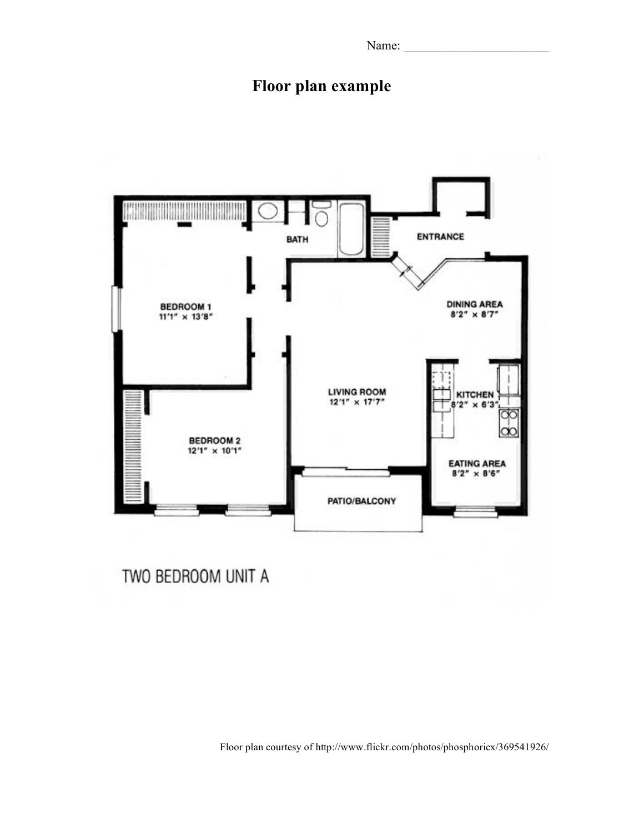Name: \_\_\_\_\_\_\_\_\_\_\_\_\_\_\_\_\_\_\_\_\_\_\_

## **Floor plan example**



Floor plan courtesy of http://www.flickr.com/photos/phosphoricx/369541926/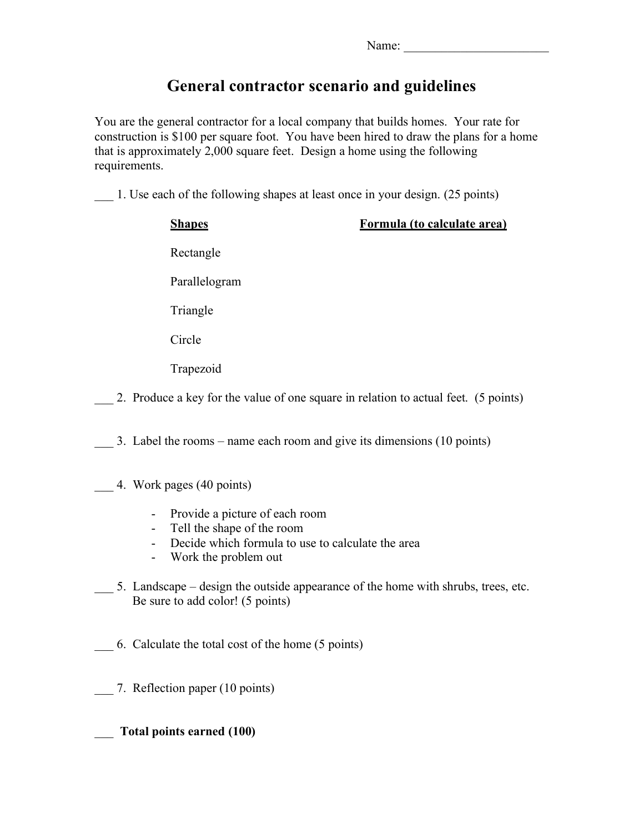## **General contractor scenario and guidelines**

You are the general contractor for a local company that builds homes. Your rate for construction is \$100 per square foot. You have been hired to draw the plans for a home that is approximately 2,000 square feet. Design a home using the following requirements.

\_\_\_ 1. Use each of the following shapes at least once in your design. (25 points)

| <b>Shapes</b>                                                                       | Formula (to calculate area) |
|-------------------------------------------------------------------------------------|-----------------------------|
| Rectangle                                                                           |                             |
| Parallelogram                                                                       |                             |
| Triangle                                                                            |                             |
| Circle                                                                              |                             |
| Trapezoid                                                                           |                             |
| 2. Produce a key for the value of one square in relation to actual feet. (5 points) |                             |
| 3. Label the rooms – name each room and give its dimensions (10 points)             |                             |

- \_\_\_ 4. Work pages (40 points)
	- Provide a picture of each room
	- Tell the shape of the room
	- Decide which formula to use to calculate the area
	- Work the problem out
- 5. Landscape design the outside appearance of the home with shrubs, trees, etc. Be sure to add color! (5 points)
- \_\_\_ 6. Calculate the total cost of the home (5 points)
- 7. Reflection paper (10 points)

\_\_\_ **Total points earned (100)**